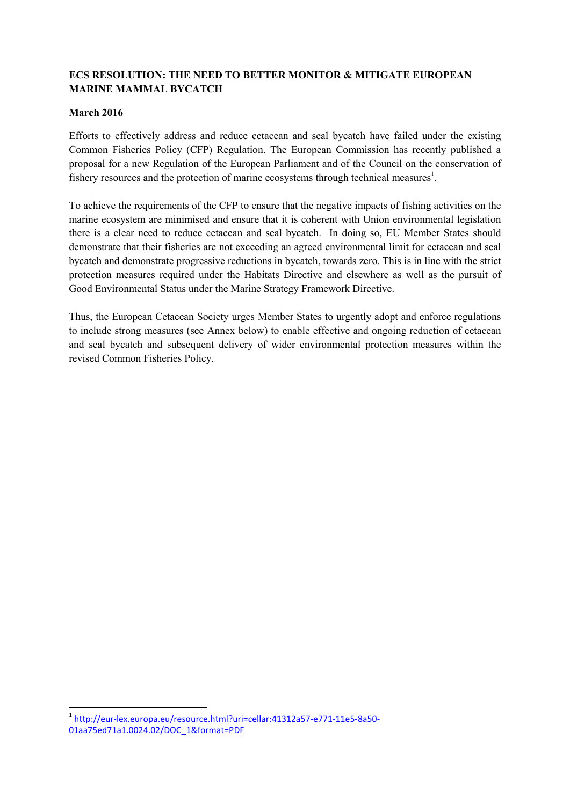## **ECS RESOLUTION: THE NEED TO BETTER MONITOR & MITIGATE EUROPEAN MARINE MAMMAL BYCATCH**

## **March 2016**

-

Efforts to effectively address and reduce cetacean and seal bycatch have failed under the existing Common Fisheries Policy (CFP) Regulation. The European Commission has recently published a proposal for a new Regulation of the European Parliament and of the Council on the conservation of fishery resources and the protection of marine ecosystems through technical measures<sup>1</sup>.

To achieve the requirements of the CFP to ensure that the negative impacts of fishing activities on the marine ecosystem are minimised and ensure that it is coherent with Union environmental legislation there is a clear need to reduce cetacean and seal bycatch. In doing so, EU Member States should demonstrate that their fisheries are not exceeding an agreed environmental limit for cetacean and seal bycatch and demonstrate progressive reductions in bycatch, towards zero. This is in line with the strict protection measures required under the Habitats Directive and elsewhere as well as the pursuit of Good Environmental Status under the Marine Strategy Framework Directive.

Thus, the European Cetacean Society urges Member States to urgently adopt and enforce regulations to include strong measures (see Annex below) to enable effective and ongoing reduction of cetacean and seal bycatch and subsequent delivery of wider environmental protection measures within the revised Common Fisheries Policy.

<sup>1</sup> http://eur-lex.europa.eu/resource.html?uri=cellar:41312a57-e771-11e5-8a50- 01aa75ed71a1.0024.02/DOC\_1&format=PDF